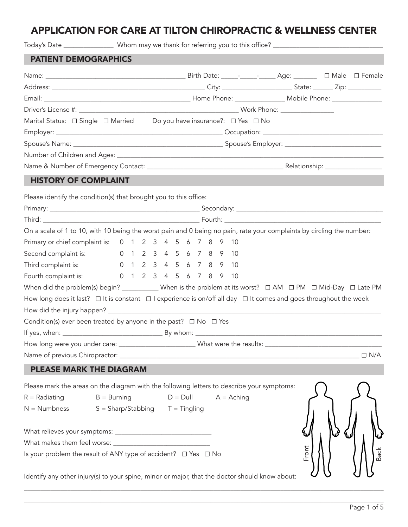# APPLICATION FOR CARE AT TILTON CHIROPRACTIC & WELLNESS CENTER

| <b>PATIENT DEMOGRAPHICS</b>                                                                                                     |               |  |             |  |              |  |       |             |
|---------------------------------------------------------------------------------------------------------------------------------|---------------|--|-------------|--|--------------|--|-------|-------------|
|                                                                                                                                 |               |  |             |  |              |  |       |             |
|                                                                                                                                 |               |  |             |  |              |  |       |             |
|                                                                                                                                 |               |  |             |  |              |  |       |             |
|                                                                                                                                 |               |  |             |  |              |  |       |             |
| Marital Status: □ Single □ Married Do you have insurance?: □ Yes □ No                                                           |               |  |             |  |              |  |       |             |
|                                                                                                                                 |               |  |             |  |              |  |       |             |
|                                                                                                                                 |               |  |             |  |              |  |       |             |
|                                                                                                                                 |               |  |             |  |              |  |       |             |
|                                                                                                                                 |               |  |             |  |              |  |       |             |
| <b>HISTORY OF COMPLAINT</b>                                                                                                     |               |  |             |  |              |  |       |             |
| Please identify the condition(s) that brought you to this office:                                                               |               |  |             |  |              |  |       |             |
|                                                                                                                                 |               |  |             |  |              |  |       |             |
|                                                                                                                                 |               |  |             |  |              |  |       |             |
| On a scale of 1 to 10, with 10 being the worst pain and 0 being no pain, rate your complaints by circling the number:           |               |  |             |  |              |  |       |             |
| Primary or chief complaint is: 0 1 2 3 4 5 6 7 8 9 10                                                                           |               |  |             |  |              |  |       |             |
| Second complaint is: 0 1 2 3 4 5 6 7 8 9 10                                                                                     |               |  |             |  |              |  |       |             |
| Third complaint is: 0 1 2 3 4 5 6 7 8 9 10                                                                                      |               |  |             |  |              |  |       |             |
| Fourth complaint is: 0 1 2 3 4 5 6 7 8 9 10                                                                                     |               |  |             |  |              |  |       |             |
| When did the problem(s) begin? ____________ When is the problem at its worst? $\Box$ AM $\Box$ PM $\Box$ Mid-Day $\Box$ Late PM |               |  |             |  |              |  |       |             |
| How long does it last? $\Box$ It is constant $\Box$ I experience is on/off all day $\Box$ It comes and goes throughout the week |               |  |             |  |              |  |       |             |
|                                                                                                                                 |               |  |             |  |              |  |       |             |
| Condition(s) ever been treated by anyone in the past? $\Box$ No $\Box$ Yes                                                      |               |  |             |  |              |  |       |             |
|                                                                                                                                 |               |  |             |  |              |  |       |             |
| How long were you under care: __________________________What were the results: _______________________________                  |               |  |             |  |              |  |       |             |
|                                                                                                                                 |               |  |             |  |              |  |       | $\Box$ N/A  |
| <b>PLEASE MARK THE DIAGRAM</b>                                                                                                  |               |  |             |  |              |  |       |             |
| Please mark the areas on the diagram with the following letters to describe your symptoms:                                      |               |  |             |  |              |  |       |             |
| $R = \text{Radius}$                                                                                                             | $B = Burning$ |  | $D = D$ ull |  | $A =$ Aching |  |       |             |
| $N =$ Numbness $S =$ Sharp/Stabbing $T =$ Tingling                                                                              |               |  |             |  |              |  |       |             |
|                                                                                                                                 |               |  |             |  |              |  |       |             |
|                                                                                                                                 |               |  |             |  |              |  |       |             |
|                                                                                                                                 |               |  |             |  |              |  |       |             |
| Is your problem the result of ANY type of accident? □ Yes □ No                                                                  |               |  |             |  |              |  | Front | <b>Back</b> |
| Identify any other injury(s) to your spine, minor or major, that the doctor should know about:                                  |               |  |             |  |              |  |       |             |
|                                                                                                                                 |               |  |             |  |              |  |       |             |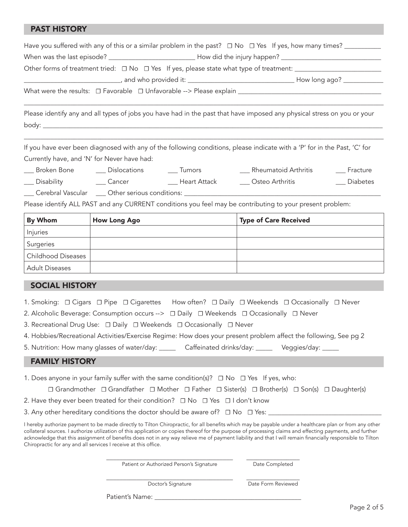### PAST HISTORY

|                                                                                                     | How long ago? ____________                                                                                              |
|-----------------------------------------------------------------------------------------------------|-------------------------------------------------------------------------------------------------------------------------|
| What were the results: □ Favorable □ Unfavorable --> Please explain _______________________________ |                                                                                                                         |
|                                                                                                     | Please identify any and all types of jobs you have had in the past that have imposed any physical stress on you or your |
| body: $\_$                                                                                          |                                                                                                                         |

If you have ever been diagnosed with any of the following conditions, please indicate with a 'P' for in the Past, 'C' for Currently have, and 'N' for Never have had:

\_\_\_\_\_\_\_\_\_\_\_\_\_\_\_\_\_\_\_\_\_\_\_\_\_\_\_\_\_\_\_\_\_\_\_\_\_\_\_\_\_\_\_\_\_\_\_\_\_\_\_\_\_\_\_\_\_\_\_\_\_\_\_\_\_\_\_\_\_\_\_\_\_\_\_\_\_\_\_\_\_\_\_\_\_\_\_\_\_\_\_\_\_\_\_\_\_\_\_\_\_\_\_\_\_\_\_\_

\_\_\_ Broken Bone \_\_\_ Dislocations \_\_\_ Tumors \_\_\_ Rheumatoid Arthritis \_\_\_ Fracture \_\_\_ Disability \_\_\_ Cancer \_\_\_ Heart Attack \_\_\_ Osteo Arthritis \_\_\_ Diabetes

\_\_\_ Cerebral Vascular \_\_\_ Other serious conditions: \_\_\_\_\_\_\_\_\_\_\_\_\_\_\_\_\_\_\_\_\_\_\_\_\_\_\_\_\_\_\_\_\_\_\_\_\_\_\_\_\_\_\_\_\_\_\_\_\_\_\_\_\_\_\_\_\_\_\_

Please identify ALL PAST and any CURRENT conditions you feel may be contributing to your present problem:

| By Whom                   | <b>How Long Ago</b> | <b>Type of Care Received</b> |
|---------------------------|---------------------|------------------------------|
| Injuries                  |                     |                              |
| Surgeries                 |                     |                              |
| <b>Childhood Diseases</b> |                     |                              |
| <b>Adult Diseases</b>     |                     |                              |

### SOCIAL HISTORY

- 1. Smoking: **☐** Cigars **☐** Pipe **☐** Cigarettes How often? **☐** Daily **☐** Weekends **☐** Occasionally **☐** Never
- 2. Alcoholic Beverage: Consumption occurs --> **☐** Daily **☐** Weekends **☐** Occasionally **☐** Never
- 3. Recreational Drug Use: **☐** Daily **☐** Weekends **☐** Occasionally **☐** Never
- 4. Hobbies/Recreational Activities/Exercise Regime: How does your present problem affect the following, See pg 2

5. Nutrition: How many glasses of water/day: \_\_\_\_\_ Caffeinated drinks/day: \_\_\_\_\_ Veggies/day: \_\_\_\_\_

#### FAMILY HISTORY

1. Does anyone in your family suffer with the same condition(s)? **☐** No **☐** Yes If yes, who:

| $\Box$ Grandmother $\Box$ Grandfather $\Box$ Mother $\Box$ Father $\Box$ Sister(s) $\Box$ Brother(s) $\Box$ Son(s) $\Box$ Daughter(s) |  |  |  |  |  |  |  |
|---------------------------------------------------------------------------------------------------------------------------------------|--|--|--|--|--|--|--|
|---------------------------------------------------------------------------------------------------------------------------------------|--|--|--|--|--|--|--|

3. Any other hereditary conditions the doctor should be aware of? **☐** No **☐** Yes: \_\_\_\_\_\_\_\_\_\_\_\_\_\_\_\_\_\_\_\_\_\_\_\_\_\_\_\_\_\_\_\_\_\_

I hereby authorize payment to be made directly to Tilton Chiropractic, for all benefits which may be payable under a healthcare plan or from any other collateral sources. I authorize utilization of this application or copies thereof for the purpose of processing claims and effecting payments, and further acknowledge that this assignment of benefits does not in any way relieve me of payment liability and that I will remain financially responsible to Tilton Chiropractic for any and all services I receive at this office.

> \_\_\_\_\_\_\_\_\_\_\_\_\_\_\_\_\_\_\_\_\_\_\_\_\_\_\_\_\_\_\_\_\_\_\_\_\_\_ Patient or Authorized Person's Signature

\_\_\_\_\_\_\_\_\_\_\_\_\_\_\_\_ Date Completed

\_\_\_\_\_\_\_\_\_\_\_\_\_\_\_\_\_\_\_\_\_\_\_\_\_\_\_\_\_\_\_\_\_\_\_\_\_\_ Doctor's Signature

\_\_\_\_\_\_\_\_\_\_\_\_\_\_\_\_ Date Form Reviewed

Patient's Name: \_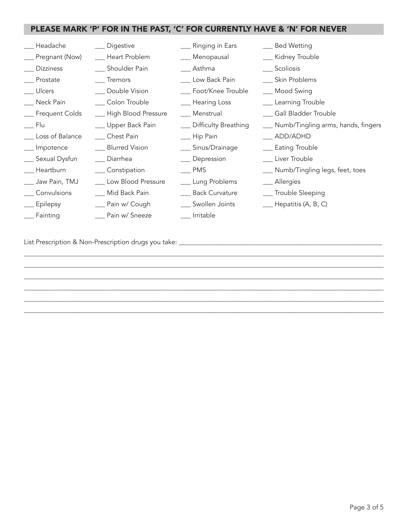## PLEASE MARK 'P' FOR IN THE PAST, 'C' FOR CURRENTLY HAVE & 'N' FOR NEVER

| __ Headache         | __ Digestive           | __ Ringing in Ears      | __ Bed Wetting                        |
|---------------------|------------------------|-------------------------|---------------------------------------|
| __ Pregnant (Now)   | __ Heart Problem       | __ Menopausal           | __ Kidney Trouble                     |
| __ Dizziness        | __ Shoulder Pain       | __ Asthma               | __ Scoliosis                          |
| __ Prostate         | __ Tremors             | __ Low Back Pain        | __ Skin Problems                      |
| __ Ulcers           | __ Double Vision       | __ Foot/Knee Trouble    | __ Mood Swing                         |
| __ Neck Pain        | __ Colon Trouble       | __ Hearing Loss         | __ Learning Trouble                   |
| __ Frequent Colds   | __ High Blood Pressure | __ Menstrual            | __ Gall Bladder Trouble               |
| ___ Flu             | ___ Upper Back Pain    | __ Difficulty Breathing | __ Numb/Tingling arms, hands, fingers |
| ___ Loss of Balance | ___ Chest Pain         | __ Hip Pain             | __ ADD/ADHD                           |
| __ Impotence        | __ Blurred Vision      | __ Sinus/Drainage       | __ Eating Trouble                     |
| __ Sexual Dysfun    | Diarrhea               | __ Depression           | __ Liver Trouble                      |
| __ Heartburn        | ___ Constipation       | ___ PMS                 | __ Numb/Tingling legs, feet, toes     |
| ___ Jaw Pain, TMJ   | __ Low Blood Pressure  | __ Lung Problems        | __ Allergies                          |
| __ Convulsions      | ___ Mid Back Pain      | ___ Back Curvature      | __ Trouble Sleeping                   |
| __ Epilepsy         | ___ Pain w/ Cough      | __ Swollen Joints       | $\_\_\_\$ Hepatitis (A, B, C)         |
| Fainting            | __ Pain w/ Sneeze      | Irritable               |                                       |

\_\_\_\_\_\_\_\_\_\_\_\_\_\_\_\_\_\_\_\_\_\_\_\_\_\_\_\_\_\_\_\_\_\_\_\_\_\_\_\_\_\_\_\_\_\_\_\_\_\_\_\_\_\_\_\_\_\_\_\_\_\_\_\_\_\_\_\_\_\_\_\_\_\_\_\_\_\_\_\_\_\_\_\_\_\_\_\_\_\_\_\_\_\_\_\_\_\_\_\_\_\_\_\_\_\_\_\_ \_\_\_\_\_\_\_\_\_\_\_\_\_\_\_\_\_\_\_\_\_\_\_\_\_\_\_\_\_\_\_\_\_\_\_\_\_\_\_\_\_\_\_\_\_\_\_\_\_\_\_\_\_\_\_\_\_\_\_\_\_\_\_\_\_\_\_\_\_\_\_\_\_\_\_\_\_\_\_\_\_\_\_\_\_\_\_\_\_\_\_\_\_\_\_\_\_\_\_\_\_\_\_\_\_\_\_\_ \_\_\_\_\_\_\_\_\_\_\_\_\_\_\_\_\_\_\_\_\_\_\_\_\_\_\_\_\_\_\_\_\_\_\_\_\_\_\_\_\_\_\_\_\_\_\_\_\_\_\_\_\_\_\_\_\_\_\_\_\_\_\_\_\_\_\_\_\_\_\_\_\_\_\_\_\_\_\_\_\_\_\_\_\_\_\_\_\_\_\_\_\_\_\_\_\_\_\_\_\_\_\_\_\_\_\_\_ \_\_\_\_\_\_\_\_\_\_\_\_\_\_\_\_\_\_\_\_\_\_\_\_\_\_\_\_\_\_\_\_\_\_\_\_\_\_\_\_\_\_\_\_\_\_\_\_\_\_\_\_\_\_\_\_\_\_\_\_\_\_\_\_\_\_\_\_\_\_\_\_\_\_\_\_\_\_\_\_\_\_\_\_\_\_\_\_\_\_\_\_\_\_\_\_\_\_\_\_\_\_\_\_\_\_\_\_ \_\_\_\_\_\_\_\_\_\_\_\_\_\_\_\_\_\_\_\_\_\_\_\_\_\_\_\_\_\_\_\_\_\_\_\_\_\_\_\_\_\_\_\_\_\_\_\_\_\_\_\_\_\_\_\_\_\_\_\_\_\_\_\_\_\_\_\_\_\_\_\_\_\_\_\_\_\_\_\_\_\_\_\_\_\_\_\_\_\_\_\_\_\_\_\_\_\_\_\_\_\_\_\_\_\_\_\_ \_\_\_\_\_\_\_\_\_\_\_\_\_\_\_\_\_\_\_\_\_\_\_\_\_\_\_\_\_\_\_\_\_\_\_\_\_\_\_\_\_\_\_\_\_\_\_\_\_\_\_\_\_\_\_\_\_\_\_\_\_\_\_\_\_\_\_\_\_\_\_\_\_\_\_\_\_\_\_\_\_\_\_\_\_\_\_\_\_\_\_\_\_\_\_\_\_\_\_\_\_\_\_\_\_\_\_\_

List Prescription & Non-Prescription drugs you take: \_\_\_\_\_\_\_\_\_\_\_\_\_\_\_\_\_\_\_\_\_\_\_\_\_\_\_\_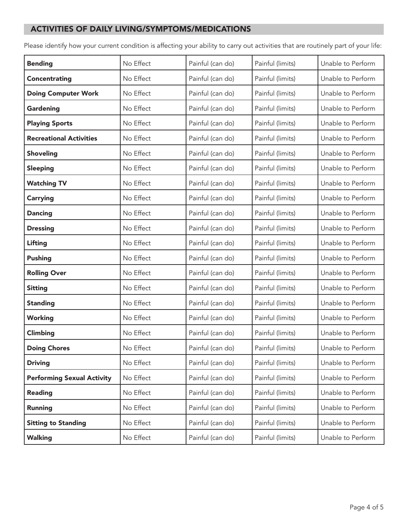## ACTIVITIES OF DAILY LIVING/SYMPTOMS/MEDICATIONS

Please identify how your current condition is affecting your ability to carry out activities that are routinely part of your life:

| <b>Bending</b>                    | No Effect | Painful (can do) | Painful (limits) | Unable to Perform |
|-----------------------------------|-----------|------------------|------------------|-------------------|
| <b>Concentrating</b>              | No Effect | Painful (can do) | Painful (limits) | Unable to Perform |
| <b>Doing Computer Work</b>        | No Effect | Painful (can do) | Painful (limits) | Unable to Perform |
| Gardening                         | No Effect | Painful (can do) | Painful (limits) | Unable to Perform |
| <b>Playing Sports</b>             | No Effect | Painful (can do) | Painful (limits) | Unable to Perform |
| <b>Recreational Activities</b>    | No Effect | Painful (can do) | Painful (limits) | Unable to Perform |
| <b>Shoveling</b>                  | No Effect | Painful (can do) | Painful (limits) | Unable to Perform |
| <b>Sleeping</b>                   | No Effect | Painful (can do) | Painful (limits) | Unable to Perform |
| <b>Watching TV</b>                | No Effect | Painful (can do) | Painful (limits) | Unable to Perform |
| <b>Carrying</b>                   | No Effect | Painful (can do) | Painful (limits) | Unable to Perform |
| <b>Dancing</b>                    | No Effect | Painful (can do) | Painful (limits) | Unable to Perform |
| <b>Dressing</b>                   | No Effect | Painful (can do) | Painful (limits) | Unable to Perform |
| Lifting                           | No Effect | Painful (can do) | Painful (limits) | Unable to Perform |
| <b>Pushing</b>                    | No Effect | Painful (can do) | Painful (limits) | Unable to Perform |
| <b>Rolling Over</b>               | No Effect | Painful (can do) | Painful (limits) | Unable to Perform |
| <b>Sitting</b>                    | No Effect | Painful (can do) | Painful (limits) | Unable to Perform |
| <b>Standing</b>                   | No Effect | Painful (can do) | Painful (limits) | Unable to Perform |
| <b>Working</b>                    | No Effect | Painful (can do) | Painful (limits) | Unable to Perform |
| Climbing                          | No Effect | Painful (can do) | Painful (limits) | Unable to Perform |
| <b>Doing Chores</b>               | No Effect | Painful (can do) | Painful (limits) | Unable to Perform |
| <b>Driving</b>                    | No Effect | Painful (can do) | Painful (limits) | Unable to Perform |
| <b>Performing Sexual Activity</b> | No Effect | Painful (can do) | Painful (limits) | Unable to Perform |
| <b>Reading</b>                    | No Effect | Painful (can do) | Painful (limits) | Unable to Perform |
| <b>Running</b>                    | No Effect | Painful (can do) | Painful (limits) | Unable to Perform |
| <b>Sitting to Standing</b>        | No Effect | Painful (can do) | Painful (limits) | Unable to Perform |
| <b>Walking</b>                    | No Effect | Painful (can do) | Painful (limits) | Unable to Perform |